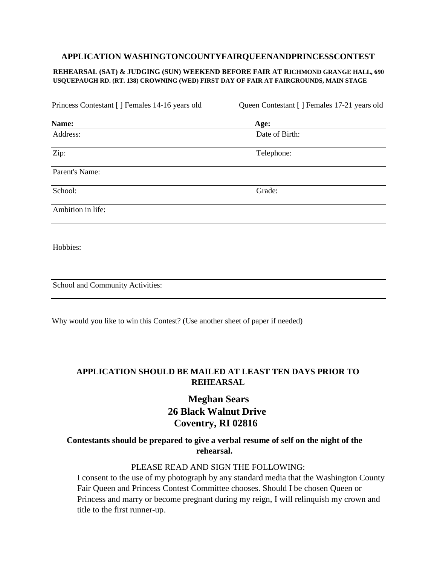### **APPLICATION WASHINGTONCOUNTYFAIRQUEENANDPRINCESSCONTEST**

#### **REHEARSAL (SAT) & JUDGING (SUN) WEEKEND BEFORE FAIR AT RICHMOND GRANGE HALL, 690 USQUEPAUGH RD. (RT. 138) CROWNING (WED) FIRST DAY OF FAIR AT FAIRGROUNDS, MAIN STAGE**

| Princess Contestant [] Females 14-16 years old | Queen Contestant [] Females 17-21 years old |
|------------------------------------------------|---------------------------------------------|
| Name:                                          | Age:                                        |
| Address:                                       | Date of Birth:                              |
| Zip:                                           | Telephone:                                  |
| Parent's Name:                                 |                                             |
| School:                                        | Grade:                                      |
| Ambition in life:                              |                                             |
|                                                |                                             |
| Hobbies:                                       |                                             |
|                                                |                                             |
| School and Community Activities:               |                                             |
|                                                |                                             |

Why would you like to win this Contest? (Use another sheet of paper if needed)

## **APPLICATION SHOULD BE MAILED AT LEAST TEN DAYS PRIOR TO REHEARSAL**

# **Meghan Sears 26 Black Walnut Drive Coventry, RI 02816**

## **Contestants should be prepared to give a verbal resume of self on the night of the rehearsal.**

### PLEASE READ AND SIGN THE FOLLOWING:

I consent to the use of my photograph by any standard media that the Washington County Fair Queen and Princess Contest Committee chooses. Should I be chosen Queen or Princess and marry or become pregnant during my reign, I will relinquish my crown and title to the first runner-up.